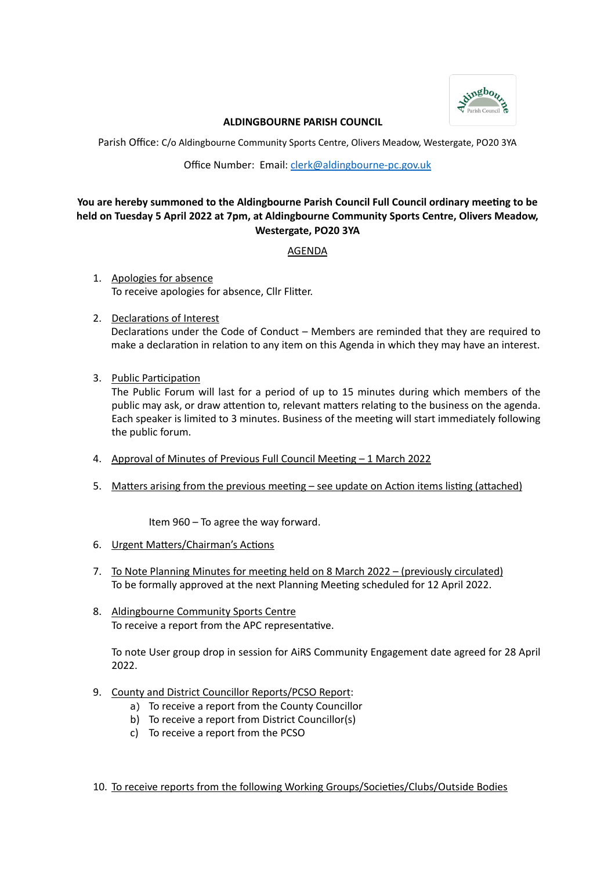

#### **ALDINGBOURNE PARISH COUNCIL**

Parish Office: C/o Aldingbourne Community Sports Centre, Olivers Meadow, Westergate, PO20 3YA

Office Number: Email: [clerk@aldingbourne-pc.gov.uk](mailto:clerk@aldingbourne-pc.gov.uk)

# **You are hereby summoned to the Aldingbourne Parish Council Full Council ordinary meeting to be held on Tuesday 5 April 2022 at 7pm, at Aldingbourne Community Sports Centre, Olivers Meadow, Westergate, PO20 3YA**

AGENDA

- 1. Apologies for absence To receive apologies for absence, Cllr Flitter.
- 2. Declarations of Interest

Declarations under the Code of Conduct – Members are reminded that they are required to make a declaration in relation to any item on this Agenda in which they may have an interest.

3. Public Participation

The Public Forum will last for a period of up to 15 minutes during which members of the public may ask, or draw attention to, relevant matters relating to the business on the agenda. Each speaker is limited to 3 minutes. Business of the meeting will start immediately following the public forum.

- 4. Approval of Minutes of Previous Full Council Meeting 1 March 2022
- 5. Matters arising from the previous meeting see update on Action items listing (attached)

Item 960 – To agree the way forward.

- 6. Urgent Matters/Chairman's Actions
- 7. To Note Planning Minutes for meeting held on 8 March 2022 (previously circulated) To be formally approved at the next Planning Meeting scheduled for 12 April 2022.
- 8. Aldingbourne Community Sports Centre To receive a report from the APC representative.

To note User group drop in session for AiRS Community Engagement date agreed for 28 April 2022.

- 9. County and District Councillor Reports/PCSO Report:
	- a) To receive a report from the County Councillor
	- b) To receive a report from District Councillor(s)
	- c) To receive a report from the PCSO

10. To receive reports from the following Working Groups/Societies/Clubs/Outside Bodies